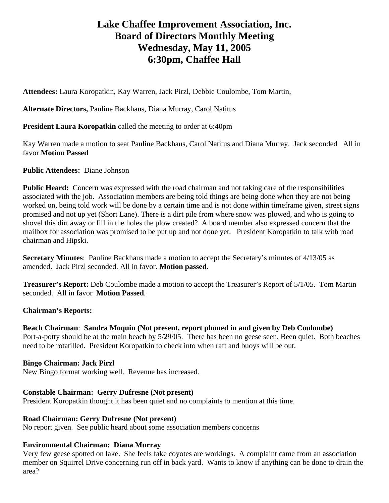# **Lake Chaffee Improvement Association, Inc. Board of Directors Monthly Meeting Wednesday, May 11, 2005 6:30pm, Chaffee Hall**

**Attendees:** Laura Koropatkin, Kay Warren, Jack Pirzl, Debbie Coulombe, Tom Martin,

**Alternate Directors,** Pauline Backhaus, Diana Murray, Carol Natitus

## **President Laura Koropatkin** called the meeting to order at 6:40pm

Kay Warren made a motion to seat Pauline Backhaus, Carol Natitus and Diana Murray. Jack seconded All in favor **Motion Passed**

## **Public Attendees:** Diane Johnson

**Public Heard:** Concern was expressed with the road chairman and not taking care of the responsibilities associated with the job. Association members are being told things are being done when they are not being worked on, being told work will be done by a certain time and is not done within timeframe given, street signs promised and not up yet (Short Lane). There is a dirt pile from where snow was plowed, and who is going to shovel this dirt away or fill in the holes the plow created? A board member also expressed concern that the mailbox for association was promised to be put up and not done yet. President Koropatkin to talk with road chairman and Hipski.

**Secretary Minutes**: Pauline Backhaus made a motion to accept the Secretary's minutes of 4/13/05 as amended. Jack Pirzl seconded. All in favor. **Motion passed.** 

**Treasurer's Report:** Deb Coulombe made a motion to accept the Treasurer's Report of 5/1/05. Tom Martin seconded. All in favor **Motion Passed**.

#### **Chairman's Reports:**

**Beach Chairman**: **Sandra Moquin (Not present, report phoned in and given by Deb Coulombe)** Port-a-potty should be at the main beach by 5/29/05. There has been no geese seen. Been quiet. Both beaches need to be rotatilled. President Koropatkin to check into when raft and buoys will be out.

#### **Bingo Chairman: Jack Pirzl**

New Bingo format working well. Revenue has increased.

#### **Constable Chairman: Gerry Dufresne (Not present)**

President Koropatkin thought it has been quiet and no complaints to mention at this time.

#### **Road Chairman: Gerry Dufresne (Not present)**

No report given. See public heard about some association members concerns

#### **Environmental Chairman: Diana Murray**

Very few geese spotted on lake. She feels fake coyotes are workings. A complaint came from an association member on Squirrel Drive concerning run off in back yard. Wants to know if anything can be done to drain the area?